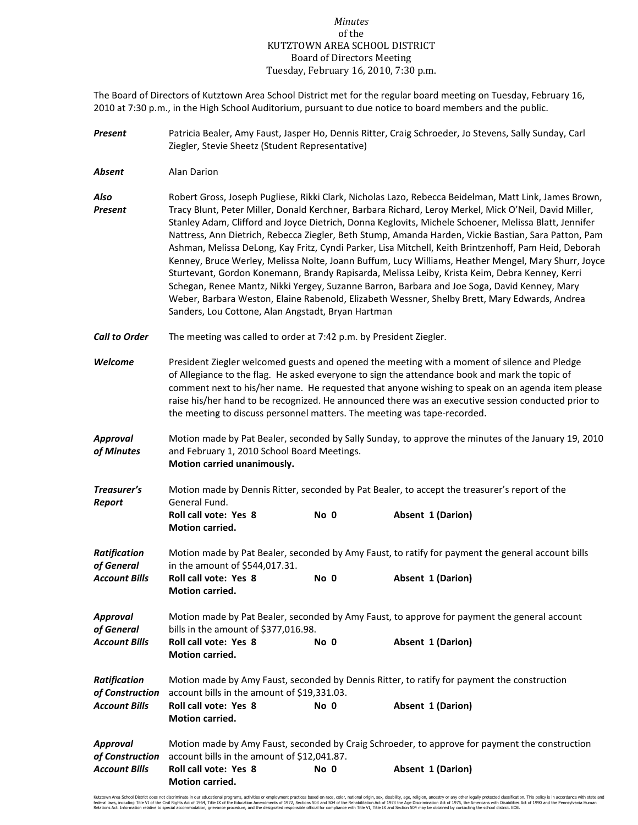## *Minutes* of the KUTZTOWN AREA SCHOOL DISTRICT Board of Directors Meeting Tuesday, February 16, 2010, 7:30 p.m.

The Board of Directors of Kutztown Area School District met for the regular board meeting on Tuesday, February 16, 2010 at 7:30 p.m., in the High School Auditorium, pursuant to due notice to board members and the public.

- *Present* Patricia Bealer, Amy Faust, Jasper Ho, Dennis Ritter, Craig Schroeder, Jo Stevens, Sally Sunday, Carl Ziegler, Stevie Sheetz (Student Representative)
- *Absent* Alan Darion

*Also* Robert Gross, Joseph Pugliese, Rikki Clark, Nicholas Lazo, Rebecca Beidelman, Matt Link, James Brown, *Present* Tracy Blunt, Peter Miller, Donald Kerchner, Barbara Richard, Leroy Merkel, Mick O'Neil, David Miller, Stanley Adam, Clifford and Joyce Dietrich, Donna Keglovits, Michele Schoener, Melissa Blatt, Jennifer Nattress, Ann Dietrich, Rebecca Ziegler, Beth Stump, Amanda Harden, Vickie Bastian, Sara Patton, Pam Ashman, Melissa DeLong, Kay Fritz, Cyndi Parker, Lisa Mitchell, Keith Brintzenhoff, Pam Heid, Deborah Kenney, Bruce Werley, Melissa Nolte, Joann Buffum, Lucy Williams, Heather Mengel, Mary Shurr, Joyce Sturtevant, Gordon Konemann, Brandy Rapisarda, Melissa Leiby, Krista Keim, Debra Kenney, Kerri Schegan, Renee Mantz, Nikki Yergey, Suzanne Barron, Barbara and Joe Soga, David Kenney, Mary Weber, Barbara Weston, Elaine Rabenold, Elizabeth Wessner, Shelby Brett, Mary Edwards, Andrea Sanders, Lou Cottone, Alan Angstadt, Bryan Hartman

- *Call to Order* The meeting was called to order at 7:42 p.m. by President Ziegler.
- *Welcome* President Ziegler welcomed guests and opened the meeting with a moment of silence and Pledge of Allegiance to the flag. He asked everyone to sign the attendance book and mark the topic of comment next to his/her name. He requested that anyone wishing to speak on an agenda item please raise his/her hand to be recognized. He announced there was an executive session conducted prior to the meeting to discuss personnel matters. The meeting was tape-recorded.
- *Approval* Motion made by Pat Bealer, seconded by Sally Sunday, to approve the minutes of the January 19, 2010 *of Minutes* and February 1, 2010 School Board Meetings.  **Motion carried unanimously.**
- *Treasurer's* Motion made by Dennis Ritter, seconded by Pat Bealer, to accept the treasurer's report of the **Report General Fund.** Roll call vote: Yes 8 No 0 Absent 1 (Darion)  **Motion carried.**

| <b>Ratification</b>  | Motion made by Pat Bealer, seconded by Amy Faust, to ratify for payment the general account bills |      |                   |  |  |  |  |
|----------------------|---------------------------------------------------------------------------------------------------|------|-------------------|--|--|--|--|
| of General           | in the amount of \$544,017.31.                                                                    |      |                   |  |  |  |  |
| <b>Account Bills</b> | Roll call vote: Yes 8<br><b>Motion carried.</b>                                                   | No 0 | Absent 1 (Darion) |  |  |  |  |
| Approval             | Motion made by Pat Bealer, seconded by Amy Faust, to approve for payment the general account      |      |                   |  |  |  |  |
| of General           | bills in the amount of \$377,016.98.                                                              |      |                   |  |  |  |  |
| <b>Account Bills</b> | <b>Roll call vote: Yes 8</b><br><b>Motion carried.</b>                                            | No 0 | Absent 1 (Darion) |  |  |  |  |
| <b>Ratification</b>  | Motion made by Amy Faust, seconded by Dennis Ritter, to ratify for payment the construction       |      |                   |  |  |  |  |
| of Construction      | account bills in the amount of \$19,331.03.                                                       |      |                   |  |  |  |  |
| <b>Account Bills</b> | <b>Roll call vote: Yes 8</b><br><b>Motion carried.</b>                                            | No 0 | Absent 1 (Darion) |  |  |  |  |
| Approval             | Motion made by Amy Faust, seconded by Craig Schroeder, to approve for payment the construction    |      |                   |  |  |  |  |
| of Construction      | account bills in the amount of \$12,041.87.                                                       |      |                   |  |  |  |  |
| <b>Account Bills</b> | <b>Roll call vote: Yes 8</b>                                                                      | No 0 | Absent 1 (Darion) |  |  |  |  |

Kutzown Area School Odstrict does not discrimate in our educational programs, activities or emploment practices based on race, color, national origin, sex, disability, ap, religion, ances of 1975, because with observe any e Renabilitation Act of 1973 the Age Dischmination Act of 1973, the Americans With Disabilities<br>E with Title VI. Title IX and Section 504 may be obtained by contacting the school district. EOE

 **Motion carried.**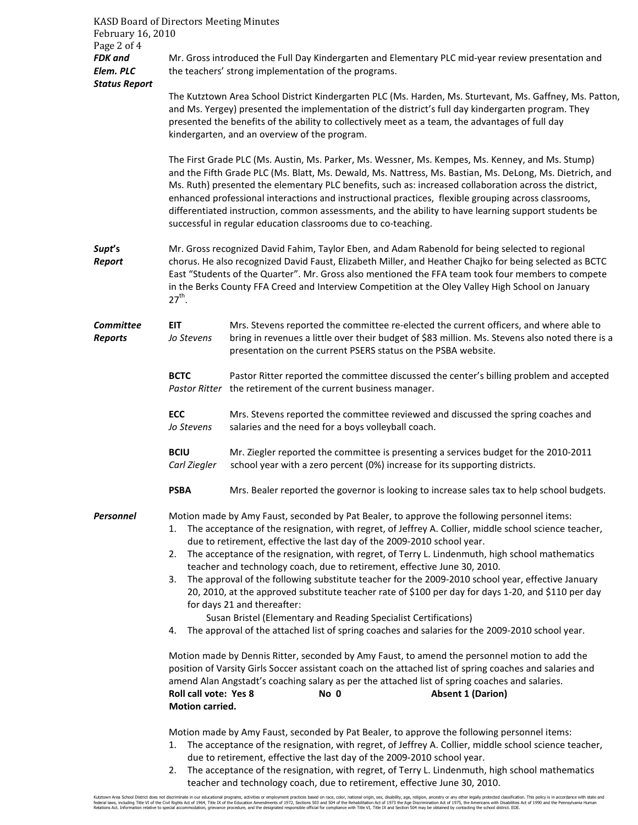| <b>KASD Board of Directors Meeting Minutes</b><br>February 16, 2010<br>Page 2 of 4 |                                                                                                                                                                                                                                                                                                                                                                                                                                                                                                                                                                                                                                                                                                                                                                                                                                                                                                                                                                                 |                                                                                                                                                                                                                                                                                                                                                                                                                                                                                                                                                                                                                                                                                                                                                                                |  |  |  |  |  |
|------------------------------------------------------------------------------------|---------------------------------------------------------------------------------------------------------------------------------------------------------------------------------------------------------------------------------------------------------------------------------------------------------------------------------------------------------------------------------------------------------------------------------------------------------------------------------------------------------------------------------------------------------------------------------------------------------------------------------------------------------------------------------------------------------------------------------------------------------------------------------------------------------------------------------------------------------------------------------------------------------------------------------------------------------------------------------|--------------------------------------------------------------------------------------------------------------------------------------------------------------------------------------------------------------------------------------------------------------------------------------------------------------------------------------------------------------------------------------------------------------------------------------------------------------------------------------------------------------------------------------------------------------------------------------------------------------------------------------------------------------------------------------------------------------------------------------------------------------------------------|--|--|--|--|--|
| <b>FDK</b> and<br>Elem. PLC<br><b>Status Report</b>                                | Mr. Gross introduced the Full Day Kindergarten and Elementary PLC mid-year review presentation and<br>the teachers' strong implementation of the programs.                                                                                                                                                                                                                                                                                                                                                                                                                                                                                                                                                                                                                                                                                                                                                                                                                      |                                                                                                                                                                                                                                                                                                                                                                                                                                                                                                                                                                                                                                                                                                                                                                                |  |  |  |  |  |
|                                                                                    | The Kutztown Area School District Kindergarten PLC (Ms. Harden, Ms. Sturtevant, Ms. Gaffney, Ms. Patton,<br>and Ms. Yergey) presented the implementation of the district's full day kindergarten program. They<br>presented the benefits of the ability to collectively meet as a team, the advantages of full day<br>kindergarten, and an overview of the program.<br>The First Grade PLC (Ms. Austin, Ms. Parker, Ms. Wessner, Ms. Kempes, Ms. Kenney, and Ms. Stump)<br>and the Fifth Grade PLC (Ms. Blatt, Ms. Dewald, Ms. Nattress, Ms. Bastian, Ms. DeLong, Ms. Dietrich, and<br>Ms. Ruth) presented the elementary PLC benefits, such as: increased collaboration across the district,<br>enhanced professional interactions and instructional practices, flexible grouping across classrooms,<br>differentiated instruction, common assessments, and the ability to have learning support students be<br>successful in regular education classrooms due to co-teaching. |                                                                                                                                                                                                                                                                                                                                                                                                                                                                                                                                                                                                                                                                                                                                                                                |  |  |  |  |  |
|                                                                                    |                                                                                                                                                                                                                                                                                                                                                                                                                                                                                                                                                                                                                                                                                                                                                                                                                                                                                                                                                                                 |                                                                                                                                                                                                                                                                                                                                                                                                                                                                                                                                                                                                                                                                                                                                                                                |  |  |  |  |  |
| Supt's<br>Report                                                                   | Mr. Gross recognized David Fahim, Taylor Eben, and Adam Rabenold for being selected to regional<br>chorus. He also recognized David Faust, Elizabeth Miller, and Heather Chajko for being selected as BCTC<br>East "Students of the Quarter". Mr. Gross also mentioned the FFA team took four members to compete<br>in the Berks County FFA Creed and Interview Competition at the Oley Valley High School on January<br>$27^{th}$ .                                                                                                                                                                                                                                                                                                                                                                                                                                                                                                                                            |                                                                                                                                                                                                                                                                                                                                                                                                                                                                                                                                                                                                                                                                                                                                                                                |  |  |  |  |  |
| Committee<br><b>Reports</b>                                                        | EIT<br>Jo Stevens                                                                                                                                                                                                                                                                                                                                                                                                                                                                                                                                                                                                                                                                                                                                                                                                                                                                                                                                                               | Mrs. Stevens reported the committee re-elected the current officers, and where able to<br>bring in revenues a little over their budget of \$83 million. Ms. Stevens also noted there is a<br>presentation on the current PSERS status on the PSBA website.                                                                                                                                                                                                                                                                                                                                                                                                                                                                                                                     |  |  |  |  |  |
|                                                                                    | <b>BCTC</b>                                                                                                                                                                                                                                                                                                                                                                                                                                                                                                                                                                                                                                                                                                                                                                                                                                                                                                                                                                     | Pastor Ritter reported the committee discussed the center's billing problem and accepted<br>Pastor Ritter the retirement of the current business manager.                                                                                                                                                                                                                                                                                                                                                                                                                                                                                                                                                                                                                      |  |  |  |  |  |
|                                                                                    | <b>ECC</b><br>Jo Stevens                                                                                                                                                                                                                                                                                                                                                                                                                                                                                                                                                                                                                                                                                                                                                                                                                                                                                                                                                        | Mrs. Stevens reported the committee reviewed and discussed the spring coaches and<br>salaries and the need for a boys volleyball coach.                                                                                                                                                                                                                                                                                                                                                                                                                                                                                                                                                                                                                                        |  |  |  |  |  |
|                                                                                    | <b>BCIU</b><br>Carl Ziegler                                                                                                                                                                                                                                                                                                                                                                                                                                                                                                                                                                                                                                                                                                                                                                                                                                                                                                                                                     | Mr. Ziegler reported the committee is presenting a services budget for the 2010-2011<br>school year with a zero percent (0%) increase for its supporting districts.                                                                                                                                                                                                                                                                                                                                                                                                                                                                                                                                                                                                            |  |  |  |  |  |
|                                                                                    | <b>PSBA</b>                                                                                                                                                                                                                                                                                                                                                                                                                                                                                                                                                                                                                                                                                                                                                                                                                                                                                                                                                                     | Mrs. Bealer reported the governor is looking to increase sales tax to help school budgets.                                                                                                                                                                                                                                                                                                                                                                                                                                                                                                                                                                                                                                                                                     |  |  |  |  |  |
| <b>Personnel</b>                                                                   | 1.<br>2.<br>3.                                                                                                                                                                                                                                                                                                                                                                                                                                                                                                                                                                                                                                                                                                                                                                                                                                                                                                                                                                  | Motion made by Amy Faust, seconded by Pat Bealer, to approve the following personnel items:<br>The acceptance of the resignation, with regret, of Jeffrey A. Collier, middle school science teacher,<br>due to retirement, effective the last day of the 2009-2010 school year.<br>The acceptance of the resignation, with regret, of Terry L. Lindenmuth, high school mathematics<br>teacher and technology coach, due to retirement, effective June 30, 2010.<br>The approval of the following substitute teacher for the 2009-2010 school year, effective January<br>20, 2010, at the approved substitute teacher rate of \$100 per day for days 1-20, and \$110 per day<br>for days 21 and thereafter:<br>Susan Bristel (Elementary and Reading Specialist Certifications) |  |  |  |  |  |
|                                                                                    | 4. The approval of the attached list of spring coaches and salaries for the 2009-2010 school year.                                                                                                                                                                                                                                                                                                                                                                                                                                                                                                                                                                                                                                                                                                                                                                                                                                                                              |                                                                                                                                                                                                                                                                                                                                                                                                                                                                                                                                                                                                                                                                                                                                                                                |  |  |  |  |  |
|                                                                                    | Motion made by Dennis Ritter, seconded by Amy Faust, to amend the personnel motion to add the<br>position of Varsity Girls Soccer assistant coach on the attached list of spring coaches and salaries and<br>amend Alan Angstadt's coaching salary as per the attached list of spring coaches and salaries.<br>Roll call vote: Yes 8<br>No 0<br><b>Absent 1 (Darion)</b><br>Motion carried.<br>Motion made by Amy Faust, seconded by Pat Bealer, to approve the following personnel items:<br>The acceptance of the resignation, with regret, of Jeffrey A. Collier, middle school science teacher,<br>1.<br>due to retirement, effective the last day of the 2009-2010 school year.<br>The acceptance of the resignation, with regret, of Terry L. Lindenmuth, high school mathematics<br>2.                                                                                                                                                                                   |                                                                                                                                                                                                                                                                                                                                                                                                                                                                                                                                                                                                                                                                                                                                                                                |  |  |  |  |  |
|                                                                                    |                                                                                                                                                                                                                                                                                                                                                                                                                                                                                                                                                                                                                                                                                                                                                                                                                                                                                                                                                                                 |                                                                                                                                                                                                                                                                                                                                                                                                                                                                                                                                                                                                                                                                                                                                                                                |  |  |  |  |  |

teacher and technology coach, due to retirement, effective June 30, 2010.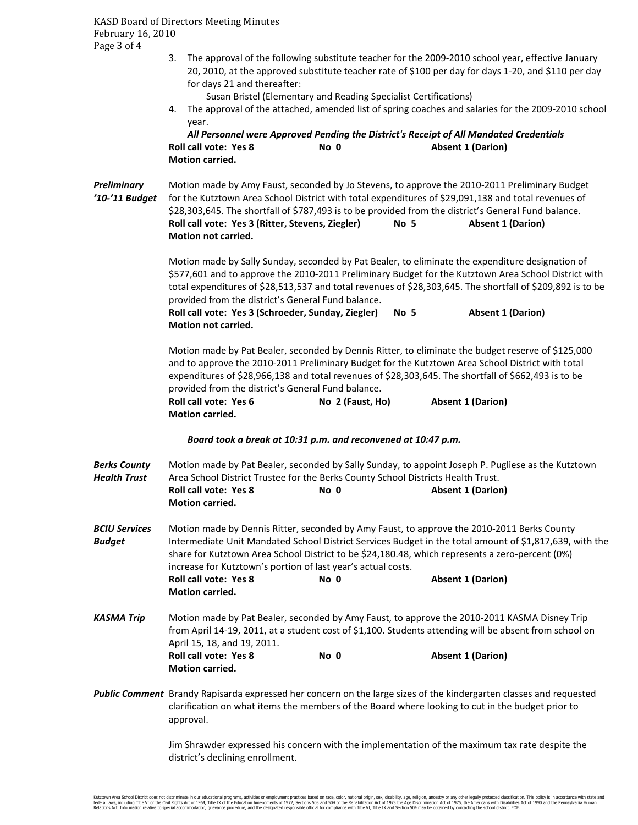KASD Board of Directors Meeting Minutes February 16, 2010 Page 3 of 4

> 3. The approval of the following substitute teacher for the 2009-2010 school year, effective January 20, 2010, at the approved substitute teacher rate of \$100 per day for days 1-20, and \$110 per day for days 21 and thereafter:

Susan Bristel (Elementary and Reading Specialist Certifications)

4. The approval of the attached, amended list of spring coaches and salaries for the 2009-2010 school year.

*All Personnel were Approved Pending the District's Receipt of All Mandated Credentials*  **Roll call vote: Yes 8 No 0 Absent 1 (Darion) Motion carried.** 

*Preliminary* Motion made by Amy Faust, seconded by Jo Stevens, to approve the 2010-2011 Preliminary Budget *'10-'11 Budget* for the Kutztown Area School District with total expenditures of \$29,091,138 and total revenues of \$28,303,645. The shortfall of \$787,493 is to be provided from the district's General Fund balance. **Roll call vote: Yes 3 (Ritter, Stevens, Ziegler) No 5 Absent 1 (Darion) Motion not carried.** 

> Motion made by Sally Sunday, seconded by Pat Bealer, to eliminate the expenditure designation of \$577,601 and to approve the 2010-2011 Preliminary Budget for the Kutztown Area School District with total expenditures of \$28,513,537 and total revenues of \$28,303,645. The shortfall of \$209,892 is to be provided from the district's General Fund balance.

**Roll call vote: Yes 3 (Schroeder, Sunday, Ziegler) No 5 Absent 1 (Darion) Motion not carried.** 

Motion made by Pat Bealer, seconded by Dennis Ritter, to eliminate the budget reserve of \$125,000 and to approve the 2010-2011 Preliminary Budget for the Kutztown Area School District with total expenditures of \$28,966,138 and total revenues of \$28,303,645. The shortfall of \$662,493 is to be provided from the district's General Fund balance. **Roll call vote: Yes 6 No 2 (Faust, Ho) Absent 1 (Darion)** 

 **Motion carried.** 

## *Board took a break at 10:31 p.m. and reconvened at 10:47 p.m.*

| <b>Berks County</b><br>Health Trust | Motion made by Pat Bealer, seconded by Sally Sunday, to appoint Joseph P. Pugliese as the Kutztown<br>Area School District Trustee for the Berks County School Districts Health Trust.                                                                                                                                                                                   |      |                                                                                                                                                                                                                                                                                                                                    |  |  |  |
|-------------------------------------|--------------------------------------------------------------------------------------------------------------------------------------------------------------------------------------------------------------------------------------------------------------------------------------------------------------------------------------------------------------------------|------|------------------------------------------------------------------------------------------------------------------------------------------------------------------------------------------------------------------------------------------------------------------------------------------------------------------------------------|--|--|--|
|                                     | <b>Roll call vote: Yes 8</b><br><b>Motion carried.</b>                                                                                                                                                                                                                                                                                                                   | No 0 | <b>Absent 1 (Darion)</b>                                                                                                                                                                                                                                                                                                           |  |  |  |
| <b>BCIU Services</b><br>Budget      | Motion made by Dennis Ritter, seconded by Amy Faust, to approve the 2010-2011 Berks County<br>Intermediate Unit Mandated School District Services Budget in the total amount of \$1,817,639, with the<br>share for Kutztown Area School District to be \$24,180.48, which represents a zero-percent (0%)<br>increase for Kutztown's portion of last year's actual costs. |      |                                                                                                                                                                                                                                                                                                                                    |  |  |  |
|                                     | <b>Roll call vote: Yes 8</b><br><b>Motion carried.</b>                                                                                                                                                                                                                                                                                                                   | No 0 | <b>Absent 1 (Darion)</b>                                                                                                                                                                                                                                                                                                           |  |  |  |
| KASMA Trip                          |                                                                                                                                                                                                                                                                                                                                                                          |      | Motion made by Pat Bealer, seconded by Amy Faust, to approve the 2010-2011 KASMA Disney Trip<br>$\mathcal{L}$ a the constant in the contract of the contract of the contract of the contract of the contract of the contract of the contract of the contract of the contract of the contract of the contract of the contract of th |  |  |  |

from April 14-19, 2011, at a student cost of \$1,100. Students attending will be absent from school on April 15, 18, and 19, 2011. **Roll call vote: Yes 8 No 0 Absent 1 (Darion) Motion carried.** 

*Public Comment* Brandy Rapisarda expressed her concern on the large sizes of the kindergarten classes and requested clarification on what items the members of the Board where looking to cut in the budget prior to approval.

> Jim Shrawder expressed his concern with the implementation of the maximum tax rate despite the district's declining enrollment.